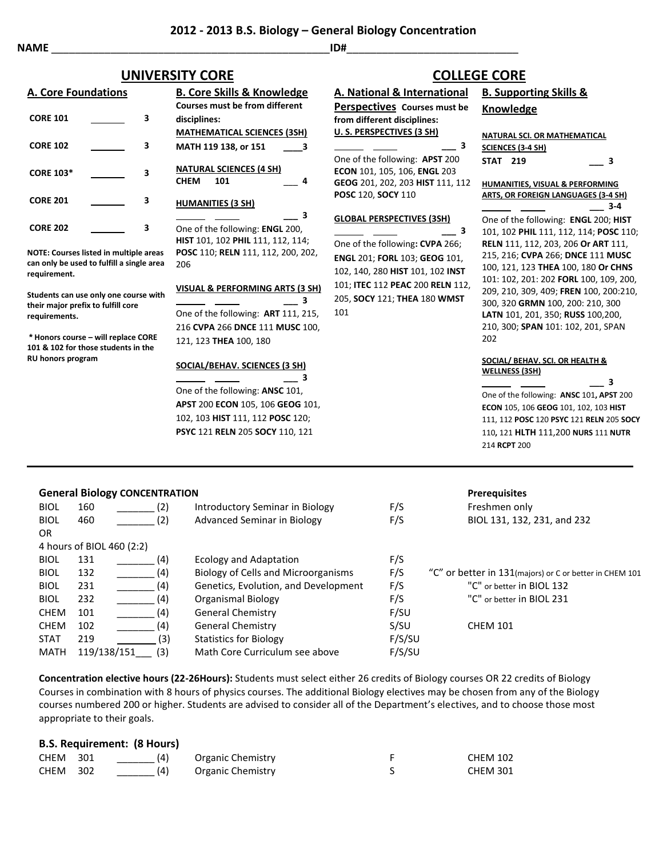**from different disciplines: U. S. PERSPECTIVES (3 SH)**

## **2012 - 2013 B.S. Biology – General Biology Concentration**

## **UNIVERSITY CORE COLLEGE CORE**

| <b>A. Core Foundations</b> |  |   | <b>B. Core Skills &amp; Knowledge</b>                                            |  |
|----------------------------|--|---|----------------------------------------------------------------------------------|--|
|                            |  |   | <b>Courses must be from different</b>                                            |  |
| <b>CORE 101</b>            |  | 3 | disciplines:                                                                     |  |
|                            |  |   | <b>MATHEMATICAL SCIENCES (3SH)</b>                                               |  |
| <b>CORE 102</b>            |  | з | MATH 119 138, or 151<br>-3                                                       |  |
| <b>CORE 103*</b>           |  | 3 | <b>NATURAL SCIENCES (4 SH)</b><br><b>CHEM</b><br>101                             |  |
| <b>CORE 201</b>            |  | 3 | <b>HUMANITIES (3 SH)</b>                                                         |  |
| <b>CORE 202</b>            |  | 3 | 3<br>One of the following: <b>ENGL</b> 200,<br>HIST 101, 102 PHIL 111, 112, 114; |  |
|                            |  |   |                                                                                  |  |

**NOTE: Courses listed in multiple areas** can only be used to fulfill a single **requirement.**

**Students can use only one course their major prefix to fulfill core requirements.**

 $*$  **Honors course – will replace CO** 101 & 102 for those students in the **RU honors program**

|                      | MATH 119 138, or 151<br>3.                                                                                                                                                | з                                                                                                                                                                                                                        |
|----------------------|---------------------------------------------------------------------------------------------------------------------------------------------------------------------------|--------------------------------------------------------------------------------------------------------------------------------------------------------------------------------------------------------------------------|
|                      | <b>NATURAL SCIENCES (4 SH)</b><br>101<br><b>CHEM</b><br>4<br><b>HUMANITIES (3 SH)</b>                                                                                     | One of the following: APST 200<br><b>ECON</b> 101, 105, 106, <b>ENGL</b> 203<br>GEOG 201, 202, 203 HIST 111, 112<br><b>POSC 120, SOCY 110</b>                                                                            |
| reas<br>area<br>with | 3<br>One of the following: ENGL 200,<br>HIST 101, 102 PHIL 111, 112, 114;<br>POSC 110; RELN 111, 112, 200, 202,<br>206<br><b>VISUAL &amp; PERFORMING ARTS (3 SH)</b><br>з | <b>GLOBAL PERSPECTIVES (3SH)</b><br>з<br>One of the following: CVPA 266;<br><b>ENGL 201; FORL 103; GEOG 101,</b><br>102, 140, 280 HIST 101, 102 INST<br>101; ITEC 112 PEAC 200 RELN 112,<br>205, SOCY 121; THEA 180 WMST |
| RE<br>e              | One of the following: ART 111, 215,<br>216 CVPA 266 DNCE 111 MUSC 100,<br>121, 123 THEA 100, 180<br>SOCIAL/BEHAV. SCIENCES (3 SH)                                         | 101                                                                                                                                                                                                                      |

 **\_\_\_ 3** One of the following: **ANSC** 101, **APST** 200 **ECON** 105, 106 **GEOG** 101, 102, 103 **HIST** 111, 112 **POSC** 120; **PSYC** 121 **RELN** 205 **SOCY** 110, 121

#### **A. National & International Perspectives Courses must be B. Supporting Skills & Knowledge**

 **\_\_\_ 3**

| NATURAL SCI. OR MATHEMATICAL |
|------------------------------|
| SCIENCES (3-4 SH)            |

| <b>STAT 219</b> |  |
|-----------------|--|

**HUMANITIES, VISUAL & PERFORMING ARTS, OR FOREIGN LANGUAGES (3-4 SH) \_\_\_ 3-4**

One of the following: **ENGL** 200; **HIST**  101, 102 **PHIL** 111, 112, 114; **POSC** 110; **RELN** 111, 112, 203, 206 **Or ART** 111, 215, 216; **CVPA** 266; **DNCE** 111 **MUSC**  100, 121, 123 **THEA** 100, 180 **Or CHNS**  101: 102, 201: 202 **FORL** 100, 109, 200, 209, 210, 309, 409; **FREN** 100, 200:210, 300, 320 **GRMN** 100, 200: 210, 300 **LATN** 101, 201, 350; **RUSS** 100,200, 210, 300; **SPAN** 101: 102, 201, SPAN 202

#### **SOCIAL/ BEHAV. SCI. OR HEALTH & WELLNESS (3SH)**

 **\_\_\_ 3** One of the following: **ANSC** 101**, APST** 200 **ECON** 105, 106 **GEOG** 101, 102, 103 **HIST** 111, 112 **POSC** 120 **PSYC** 121 **RELN** 205 **SOCY** 110**,** 121 **HLTH** 111,200 **NURS** 111 **NUTR**  214 **RCPT** 200

## **General Biology CONCENTRATION Prerequisites**

|     |             |                                      |               | .                                                        |
|-----|-------------|--------------------------------------|---------------|----------------------------------------------------------|
| 160 | (2)         | Introductory Seminar in Biology      | F/S           | Freshmen only                                            |
| 460 | (2)         | Advanced Seminar in Biology          | F/S           | BIOL 131, 132, 231, and 232                              |
|     |             |                                      |               |                                                          |
|     |             |                                      |               |                                                          |
| 131 | (4)         | Ecology and Adaptation               | F/S           |                                                          |
| 132 | (4)         | Biology of Cells and Microorganisms  | F/S           | "C" or better in 131 (majors) or C or better in CHEM 101 |
| 231 | (4)         | Genetics, Evolution, and Development | F/S           | "C" or better in BIOL 132                                |
| 232 | (4)         | Organismal Biology                   | F/S           | "C" or better in BIOL 231                                |
| 101 | (4)         | General Chemistry                    | F/SU          |                                                          |
| 102 | (4)         | General Chemistry                    | S/SU          | <b>CHEM 101</b>                                          |
| 219 | (3)         | <b>Statistics for Biology</b>        | F/S/SU        |                                                          |
|     | (3)         | Math Core Curriculum see above       | F/S/SU        |                                                          |
|     | 119/138/151 | 4 hours of BIOL 460 (2:2)            | $\frac{1}{2}$ |                                                          |

**Concentration elective hours (22-26Hours):** Students must select either 26 credits of Biology courses OR 22 credits of Biology Courses in combination with 8 hours of physics courses. The additional Biology electives may be chosen from any of the Biology courses numbered 200 or higher. Students are advised to consider all of the Department's electives, and to choose those most appropriate to their goals.

## **B.S. Requirement: (8 Hours)**

| <b>CHEM 301</b> | (4) | Organic Chemistry | <b>CHEM 102</b> |
|-----------------|-----|-------------------|-----------------|
| <b>CHEM 302</b> | (4) | Organic Chemistry | <b>CHEM 301</b> |